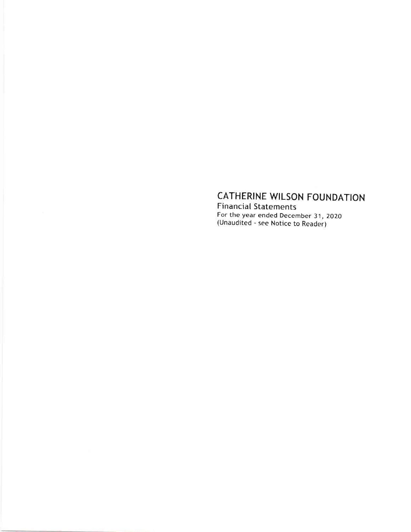# CATHERINE WILSON FOUNDATION

Financial Statements For the year ended December 31, ZOZO (Unaudited - see Notice to Reader)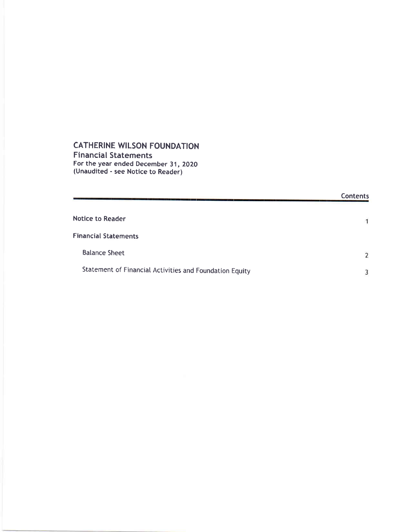#### CATHERINE WILSON FOUNDATION Financial Statements For the year ended December 31, ZOZO (Unaudited - see Notice to Reader)

|                                                         | <b>Contents</b>          |
|---------------------------------------------------------|--------------------------|
| <b>Notice to Reader</b>                                 |                          |
| <b>Financial Statements</b>                             |                          |
| <b>Balance Sheet</b>                                    | $\overline{\phantom{a}}$ |
| Statement of Financial Activities and Foundation Equity |                          |

 $\overline{3}$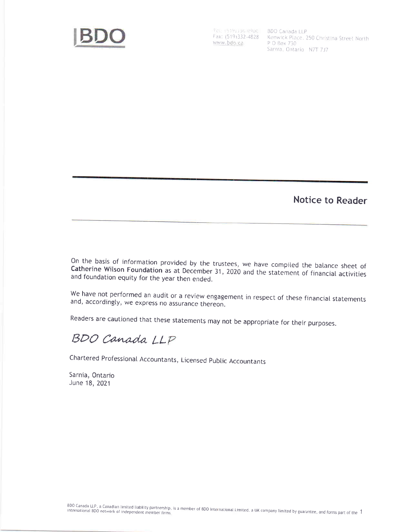

www.bdo.ca

Feli (519) 136-9900 BDO Canada LLP<br>Fax: (519) 332-4828 Kenwick Place, 250 Christina Street North P O Box 730 Sarnia, Ontario N7T 7J7

**Notice to Reader** 

On the basis of information provided by the trustees, we have compiled the balance sheet of Catherine Wilson Foundation as at December 31, 2020 and the statement of financial activities and foundation equity for the year then ended.

We have not performed an audit or a review engagement in respect of these financial statements and, accordingly, we express no assurance thereon.

Readers are cautioned that these statements may not be appropriate for their purposes.

## BDO Canada LLP

Chartered Professional Accountants, Licensed Public Accountants

Sarnia, Ontario June 18, 2021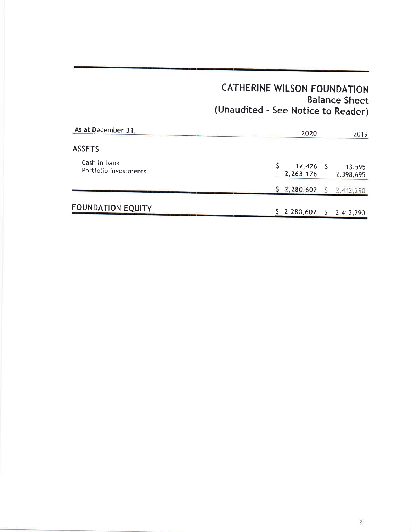### CATHERINE WILSON FOUNDATION Balance Sheet (Unaudited - See Notice to Reader)

| As at December 31,                    | 2020<br>2019                                     |
|---------------------------------------|--------------------------------------------------|
| <b>ASSETS</b>                         |                                                  |
| Cash in bank<br>Portfolio investments | $17,426$ S<br>13,595<br>2, 263, 176<br>2,398,695 |
|                                       | \$2,280,602<br>2,412,290                         |
| <b>FOUNDATION EQUITY</b>              | $$2,280,602$ \$<br>2,412,290                     |